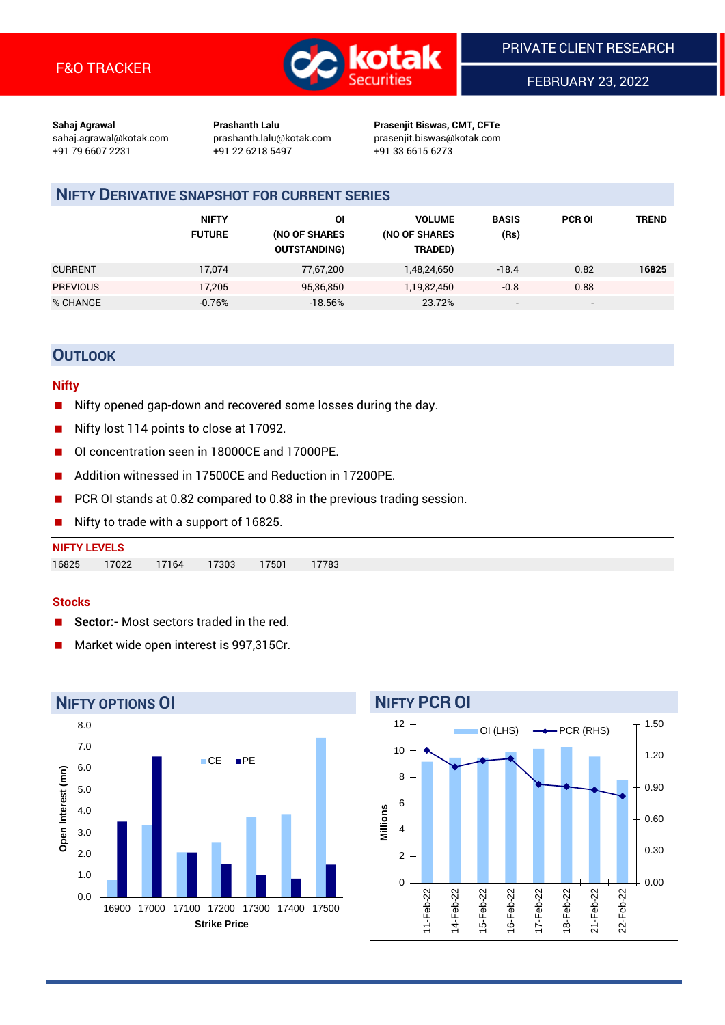

FEBRUARY 23, 2022

**Sahaj Agrawal Prashanth Lalu Prasenjit Biswas, CMT, CFTe** +91 79 6607 2231 +91 22 6218 5497 +91 33 6615 6273

sahaj.agrawal@kotak.com [prashanth.lalu@kotak.com](mailto:prashanth.lalu@kotak.com) prasenjit.biswas@kotak.com

# **NIFTY DERIVATIVE SNAPSHOT FOR CURRENT SERIES**

|                 | <b>NIFTY</b><br><b>FUTURE</b> | ΟI<br>(NO OF SHARES<br><b>OUTSTANDING)</b> | <b>VOLUME</b><br>(NO OF SHARES<br>TRADED) | <b>BASIS</b><br>(Rs)     | <b>PCR OI</b>            | TREND |
|-----------------|-------------------------------|--------------------------------------------|-------------------------------------------|--------------------------|--------------------------|-------|
| <b>CURRENT</b>  | 17,074                        | 77,67,200                                  | 1,48,24,650                               | $-18.4$                  | 0.82                     | 16825 |
| <b>PREVIOUS</b> | 17.205                        | 95,36,850                                  | 1,19,82,450                               | $-0.8$                   | 0.88                     |       |
| % CHANGE        | $-0.76%$                      | $-18.56%$                                  | 23.72%                                    | $\overline{\phantom{a}}$ | $\overline{\phantom{0}}$ |       |

## **OUTLOOK**

#### **Nifty**

- Nifty opened gap-down and recovered some losses during the day.
- Nifty lost 114 points to close at 17092.
- OI concentration seen in 18000CE and 17000PE.
- Addition witnessed in 17500CE and Reduction in 17200PE.
- PCR OI stands at 0.82 compared to 0.88 in the previous trading session.
- Nifty to trade with a support of 16825.

# **NIFTY LEVELS** 16825 17022 17164 17303 17501 17783

#### **Stocks**

- **Sector:-** Most sectors traded in the red.
- Market wide open interest is 997,315Cr.



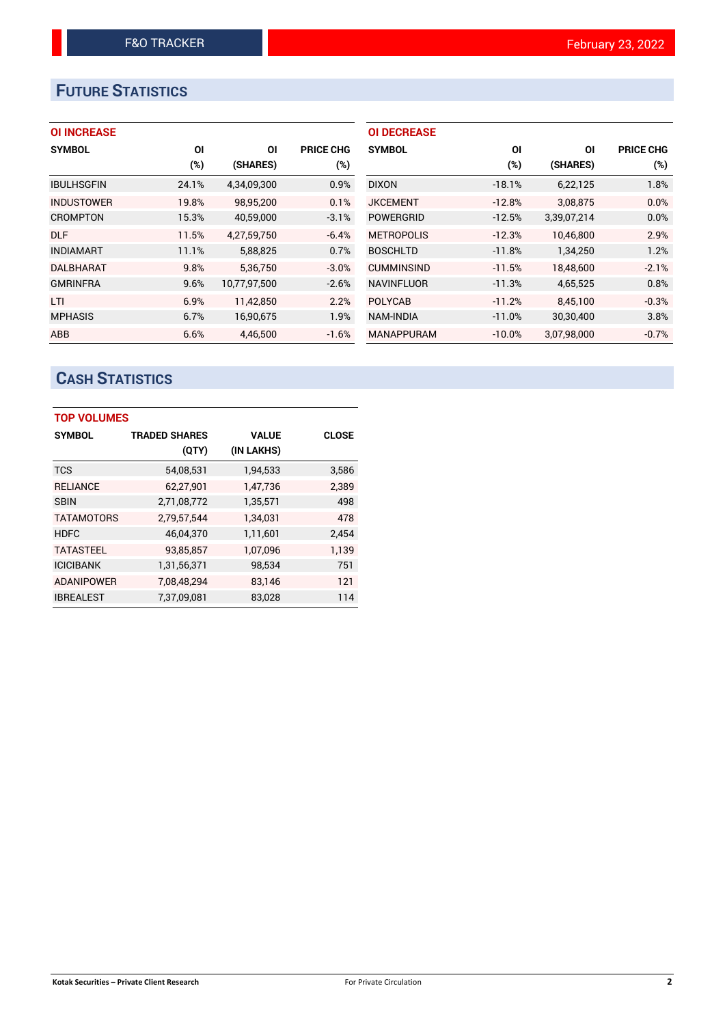# **FUTURE STATISTICS**

| <b>OI INCREASE</b> |
|--------------------|
|--------------------|

| <b>SYMBOL</b>     | ΟI    | ΟI           | <b>PRICE CHG</b> |
|-------------------|-------|--------------|------------------|
|                   | (%)   | (SHARES)     | (%)              |
| <b>IBULHSGFIN</b> | 24.1% | 4,34,09,300  | 0.9%             |
| <b>INDUSTOWER</b> | 19.8% | 98,95,200    | 0.1%             |
| <b>CROMPTON</b>   | 15.3% | 40,59,000    | $-3.1%$          |
| <b>DLF</b>        | 11.5% | 4,27,59,750  | $-6.4%$          |
| <b>INDIAMART</b>  | 11.1% | 5,88,825     | 0.7%             |
| <b>DALBHARAT</b>  | 9.8%  | 5.36.750     | $-3.0%$          |
| <b>GMRINFRA</b>   | 9.6%  | 10,77,97,500 | $-2.6%$          |
| LTI               | 6.9%  | 11,42,850    | 2.2%             |
| <b>MPHASIS</b>    | 6.7%  | 16,90,675    | 1.9%             |
| <b>ABB</b>        | 6.6%  | 4.46.500     | $-1.6%$          |

| <b>OI DECREASE</b> |          |             |                  |
|--------------------|----------|-------------|------------------|
| <b>SYMBOL</b>      | ΟI       | ΟI          | <b>PRICE CHG</b> |
|                    | (%)      | (SHARES)    | (%)              |
| <b>DIXON</b>       | $-18.1%$ | 6,22,125    | 1.8%             |
| <b>JKCEMENT</b>    | $-12.8%$ | 3,08,875    | 0.0%             |
| <b>POWERGRID</b>   | $-12.5%$ | 3,39,07,214 | 0.0%             |
| <b>METROPOLIS</b>  | $-12.3%$ | 10.46.800   | 2.9%             |
| <b>BOSCHLTD</b>    | $-11.8%$ | 1,34,250    | 1.2%             |
| <b>CUMMINSIND</b>  | $-11.5%$ | 18,48,600   | $-2.1%$          |
| <b>NAVINFLUOR</b>  | $-11.3%$ | 4,65,525    | 0.8%             |
| <b>POLYCAB</b>     | $-11.2%$ | 8,45,100    | $-0.3%$          |
| NAM-INDIA          | $-11.0%$ | 30,30,400   | 3.8%             |
| <b>MANAPPURAM</b>  | $-10.0%$ | 3,07,98,000 | $-0.7%$          |

# **CASH STATISTICS**

| <b>TOP VOLUMES</b> |                      |              |       |
|--------------------|----------------------|--------------|-------|
| <b>SYMBOL</b>      | <b>TRADED SHARES</b> | <b>VALUE</b> | CLOSE |
|                    | (QTY)                | (IN LAKHS)   |       |
| <b>TCS</b>         | 54,08,531            | 1,94,533     | 3,586 |
| <b>RELIANCE</b>    | 62,27,901            | 1,47,736     | 2,389 |
| <b>SBIN</b>        | 2,71,08,772          | 1,35,571     | 498   |
| <b>TATAMOTORS</b>  | 2,79,57,544          | 1,34,031     | 478   |
| <b>HDFC</b>        | 46,04,370            | 1,11,601     | 2,454 |
| <b>TATASTEEL</b>   | 93,85,857            | 1,07,096     | 1,139 |
| <b>ICICIBANK</b>   | 1,31,56,371          | 98,534       | 751   |
| <b>ADANIPOWER</b>  | 7,08,48,294          | 83,146       | 121   |
| <b>IBREALEST</b>   | 7,37,09,081          | 83,028       | 114   |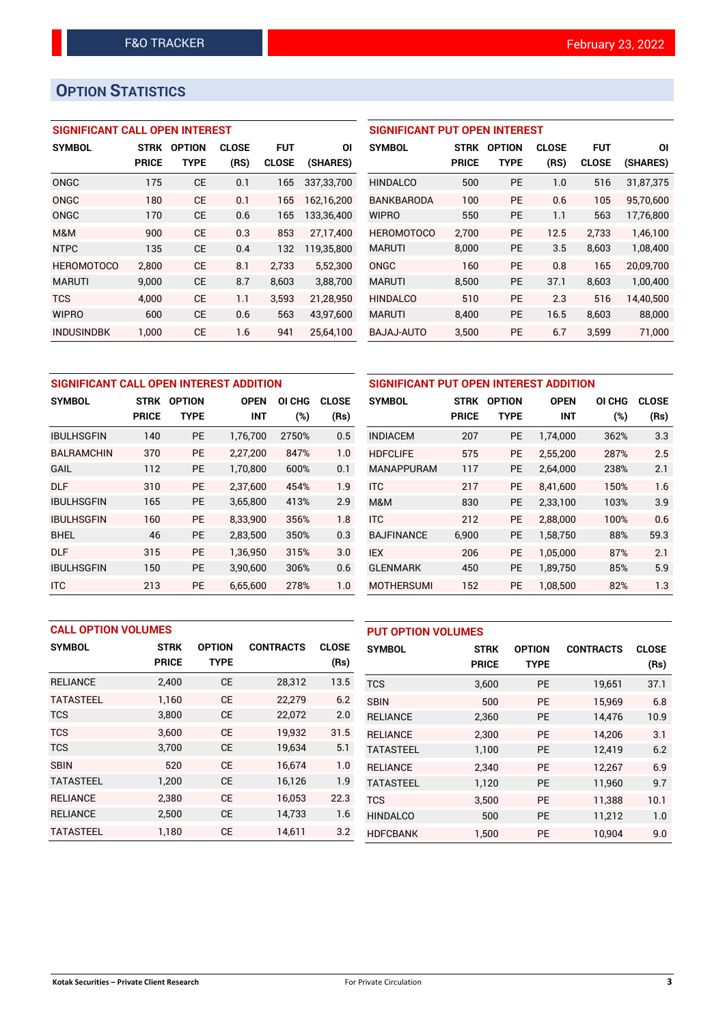# **OPTION STATISTICS**

## **SIGNIFICANT CALL OPEN INTEREST**

| <b>SYMBOL</b>     | <b>STRK</b>  | <b>OPTION</b> | <b>CLOSE</b> | FUT          | ΟI         |
|-------------------|--------------|---------------|--------------|--------------|------------|
|                   | <b>PRICE</b> | TYPE          | (RS)         | <b>CLOSE</b> | (SHARES)   |
| ONGC              | 175          | <b>CE</b>     | 0.1          | 165          | 337.33.700 |
| ONGC              | 180          | CE            | 0.1          | 165          | 162,16,200 |
| <b>ONGC</b>       | 170          | CE            | 0.6          | 165          | 133,36,400 |
| M&M               | 900          | CF            | 0.3          | 853          | 27,17,400  |
| <b>NTPC</b>       | 135          | CE            | 0.4          | 132          | 119,35,800 |
| <b>HEROMOTOCO</b> | 2,800        | СE            | 8.1          | 2,733        | 5,52,300   |
| <b>MARUTI</b>     | 9.000        | CE            | 8.7          | 8,603        | 3,88,700   |
| <b>TCS</b>        | 4.000        | CE            | 1.1          | 3,593        | 21,28,950  |
| <b>WIPRO</b>      | 600          | CE            | 0.6          | 563          | 43,97,600  |
| <b>INDUSINDBK</b> | 1.000        | CE            | 1.6          | 941          | 25.64.100  |

## **SIGNIFICANT PUT OPEN INTEREST**

| <b>SYMBOL</b>     | <b>STRK</b><br><b>PRICE</b> | <b>OPTION</b><br>TYPE | <b>CLOSE</b><br>(RS) | <b>FUT</b><br><b>CLOSE</b> | ΟI<br>(SHARES) |
|-------------------|-----------------------------|-----------------------|----------------------|----------------------------|----------------|
| <b>HINDALCO</b>   | 500                         | PF                    | 1.0                  | 516                        | 31,87,375      |
| <b>BANKBARODA</b> | 100                         | PF                    | 0.6                  | 105                        | 95,70,600      |
| <b>WIPRO</b>      | 550                         | PF                    | 1.1                  | 563                        | 17,76,800      |
| <b>HEROMOTOCO</b> | 2.700                       | PF                    | 12.5                 | 2.733                      | 1.46.100       |
| <b>MARUTI</b>     | 8,000                       | PF                    | 3.5                  | 8,603                      | 1,08,400       |
| ONGC              | 160                         | PF                    | 0.8                  | 165                        | 20,09,700      |
| <b>MARUTI</b>     | 8,500                       | PF                    | 37.1                 | 8,603                      | 1,00,400       |
| <b>HINDALCO</b>   | 510                         | PF                    | 2.3                  | 516                        | 14,40,500      |
| <b>MARUTI</b>     | 8.400                       | PF                    | 16.5                 | 8,603                      | 88,000         |
| BAJAJ-AUTO        | 3,500                       | PE                    | 6.7                  | 3,599                      | 71.000         |

| SIGNIFICANT CALL OPEN INTEREST ADDITION | <b>SIGNIFICAN</b>           |                              |                           |               |                      |                   |
|-----------------------------------------|-----------------------------|------------------------------|---------------------------|---------------|----------------------|-------------------|
| <b>SYMBOL</b>                           | <b>STRK</b><br><b>PRICE</b> | <b>OPTION</b><br><b>TYPE</b> | <b>OPEN</b><br><b>INT</b> | OI CHG<br>(%) | <b>CLOSE</b><br>(Rs) | <b>SYMBOL</b>     |
|                                         |                             |                              |                           |               |                      |                   |
| <b>IBULHSGFIN</b>                       | 140                         | <b>PE</b>                    | 1,76,700                  | 2750%         | 0.5                  | <b>INDIACEM</b>   |
| <b>BALRAMCHIN</b>                       | 370                         | <b>PE</b>                    | 2,27,200                  | 847%          | 1.0                  | <b>HDFCLIFE</b>   |
| GAIL                                    | 112                         | <b>PE</b>                    | 1,70,800                  | 600%          | 0.1                  | <b>MANAPPURA</b>  |
| <b>DLF</b>                              | 310                         | <b>PE</b>                    | 2,37,600                  | 454%          | 1.9                  | <b>ITC</b>        |
| <b>IBULHSGFIN</b>                       | 165                         | <b>PE</b>                    | 3,65,800                  | 413%          | 2.9                  | M&M               |
| <b>IBULHSGFIN</b>                       | 160                         | <b>PE</b>                    | 8.33.900                  | 356%          | 1.8                  | <b>ITC</b>        |
| <b>BHEL</b>                             | 46                          | <b>PE</b>                    | 2,83,500                  | 350%          | 0.3                  | <b>BAJFINANCE</b> |
| <b>DLF</b>                              | 315                         | <b>PE</b>                    | 1,36,950                  | 315%          | 3.0                  | <b>IEX</b>        |
| <b>IBULHSGFIN</b>                       | 150                         | <b>PE</b>                    | 3,90,600                  | 306%          | 0.6                  | <b>GLENMARK</b>   |
| <b>ITC</b>                              | 213                         | <b>PE</b>                    | 6,65,600                  | 278%          | 1.0                  | <b>MOTHERSUM</b>  |

| SIGNIFICANT PUT OPEN INTEREST ADDITION |              |                                        |            |      |              |  |  |  |
|----------------------------------------|--------------|----------------------------------------|------------|------|--------------|--|--|--|
| <b>SYMBOL</b>                          | <b>STRK</b>  | <b>OPTION</b><br><b>OPEN</b><br>OI CHG |            |      | <b>CLOSE</b> |  |  |  |
|                                        | <b>PRICE</b> | <b>TYPE</b>                            | <b>INT</b> | (%)  | (Rs)         |  |  |  |
| <b>INDIACEM</b>                        | 207          | <b>PE</b>                              | 1,74,000   | 362% | 3.3          |  |  |  |
| <b>HDFCLIFE</b>                        | 575          | <b>PE</b>                              | 2,55,200   | 287% | 2.5          |  |  |  |
| <b>MANAPPURAM</b>                      | 117          | <b>PE</b>                              | 2,64,000   | 238% | 2.1          |  |  |  |
| <b>ITC</b>                             | 217          | PE                                     | 8,41,600   | 150% | 1.6          |  |  |  |
| M&M                                    | 830          | <b>PE</b>                              | 2,33,100   | 103% | 3.9          |  |  |  |
| <b>ITC</b>                             | 212          | <b>PE</b>                              | 2,88,000   | 100% | 0.6          |  |  |  |
| <b>BAJFINANCE</b>                      | 6,900        | <b>PE</b>                              | 1,58,750   | 88%  | 59.3         |  |  |  |
| <b>IEX</b>                             | 206          | <b>PE</b>                              | 1,05,000   | 87%  | 2.1          |  |  |  |
| <b>GLENMARK</b>                        | 450          | <b>PE</b>                              | 1,89,750   | 85%  | 5.9          |  |  |  |
| <b>MOTHERSUMI</b>                      | 152          | <b>PE</b>                              | 1,08,500   | 82%  | 1.3          |  |  |  |

| <b>CALL OPTION VOLUMES</b> |              |               |                  | <b>PUT OPTION VOLUMES</b> |                  |              |               |                  |              |
|----------------------------|--------------|---------------|------------------|---------------------------|------------------|--------------|---------------|------------------|--------------|
| <b>SYMBOL</b>              | <b>STRK</b>  | <b>OPTION</b> | <b>CONTRACTS</b> | <b>CLOSE</b>              | <b>SYMBOL</b>    | <b>STRK</b>  | <b>OPTION</b> | <b>CONTRACTS</b> | <b>CLOSE</b> |
|                            | <b>PRICE</b> | <b>TYPE</b>   |                  | (Rs)                      |                  | <b>PRICE</b> | <b>TYPE</b>   |                  | (Rs)         |
| <b>RELIANCE</b>            | 2,400        | <b>CE</b>     | 28,312           | 13.5                      | <b>TCS</b>       | 3,600        | <b>PE</b>     | 19,651           | 37.1         |
| <b>TATASTEEL</b>           | 1.160        | <b>CE</b>     | 22,279           | 6.2                       | <b>SBIN</b>      | 500          | <b>PE</b>     | 15,969           | 6.8          |
| <b>TCS</b>                 | 3,800        | <b>CE</b>     | 22,072           | 2.0                       | <b>RELIANCE</b>  | 2,360        | <b>PE</b>     | 14,476           | 10.9         |
| <b>TCS</b>                 | 3.600        | <b>CE</b>     | 19,932           | 31.5                      | <b>RELIANCE</b>  | 2.300        | <b>PE</b>     | 14.206           | 3.1          |
| <b>TCS</b>                 | 3,700        | <b>CE</b>     | 19,634           | 5.1                       | <b>TATASTEEL</b> | 1.100        | <b>PE</b>     | 12,419           | 6.2          |
| <b>SBIN</b>                | 520          | <b>CE</b>     | 16.674           | 1.0                       | <b>RELIANCE</b>  | 2.340        | <b>PE</b>     | 12.267           | 6.9          |
| <b>TATASTEEL</b>           | 1,200        | <b>CE</b>     | 16,126           | 1.9                       | <b>TATASTEEL</b> | 1,120        | <b>PE</b>     | 11,960           | 9.7          |
| <b>RELIANCE</b>            | 2.380        | <b>CE</b>     | 16.053           | 22.3                      | <b>TCS</b>       | 3,500        | <b>PE</b>     | 11,388           | 10.1         |
| <b>RELIANCE</b>            | 2,500        | <b>CE</b>     | 14,733           | 1.6                       | <b>HINDALCO</b>  | 500          | <b>PE</b>     | 11,212           | 1.0          |
| <b>TATASTEEL</b>           | 1.180        | <b>CE</b>     | 14,611           | 3.2                       | <b>HDFCBANK</b>  | 1.500        | PE            | 10.904           | 9.0          |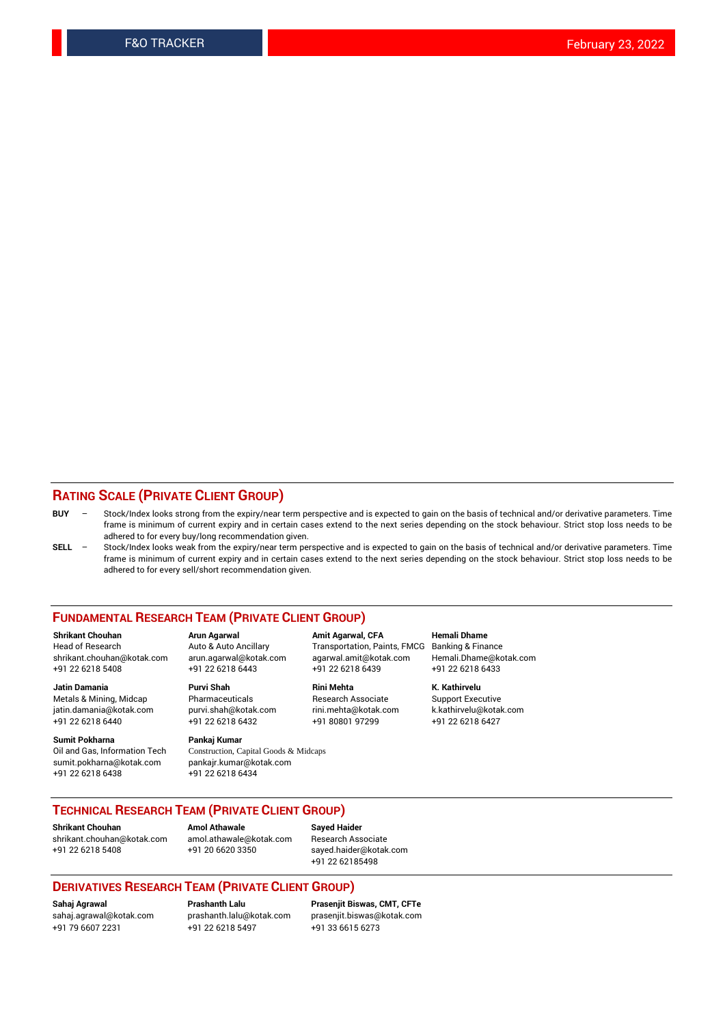### **RATING SCALE (PRIVATE CLIENT GROUP)**

- **BUY**  Stock/Index looks strong from the expiry/near term perspective and is expected to gain on the basis of technical and/or derivative parameters. Time frame is minimum of current expiry and in certain cases extend to the next series depending on the stock behaviour. Strict stop loss needs to be adhered to for every buy/long recommendation given.
- **SELL** Stock/Index looks weak from the expiry/near term perspective and is expected to gain on the basis of technical and/or derivative parameters. Time frame is minimum of current expiry and in certain cases extend to the next series depending on the stock behaviour. Strict stop loss needs to be adhered to for every sell/short recommendation given.

#### **FUNDAMENTAL RESEARCH TEAM (PRIVATE CLIENT GROUP)**

**Shrikant Chouhan Arun Agarwal Amit Agarwal, CFA Hemali Dhame** shrikant.chouhan@kotak.com arun.agarwal@kotak.com agarwal.amit@kotak.com Hemali.Dhame@kotak.com +91 22 6218 5408 +91 22 6218 6443 +91 22 6218 6439 +91 22 6218 6433

jatin.damania@kotak.com +91 22 6218 6440 +91 22 6218 6432 +91 80801 97299 +91 22 6218 6427

**Sumit Pokharna** Pankaj Kumar<br>Oil and Gas, Information Tech Construction, C sumit.pokharna@kotak.com pankajr.kumar@kotak.com +91 22 6218 6438 +91 22 6218 6434

**Jatin Damania Purvi Shah Rini Mehta K. Kathirvelu**

Construction, Capital Goods & Midcaps

Transportation, Paints, FMCG

Metals & Mining, Midcap Pharmaceuticals Pharmaceuticals Research Associate Support Executive<br>
iatin.damania@kotak.com purvi.shah@kotak.com rini.mehta@kotak.com k.kathirvelu@kotak.com

## **TECHNICAL RESEARCH TEAM (PRIVATE CLIENT GROUP)**

**Shrikant Chouhan Amol Athawale Sayed Haider** [shrikant.chouhan@kotak.com](mailto:shrikant.chouhan@kotak.com) [amol.athawale@kotak.com](mailto:amol.athawale@kotak.com) Research Associate +91 22 6218 5408 +91 20 6620 3350 [sayed.haider@kotak.com](mailto:sayed.haider@kotak.com)

+91 22 62185498

#### **DERIVATIVES RESEARCH TEAM (PRIVATE CLIENT GROUP)**

+91 79 6607 2231 +91 22 6218 5497 +91 33 6615 6273

**Sahaj Agrawal Prashanth Lalu Prasenjit Biswas, CMT, CFTe** [prasenjit.biswas@kotak.com](mailto:prasenjit.biswas@kotak.com)